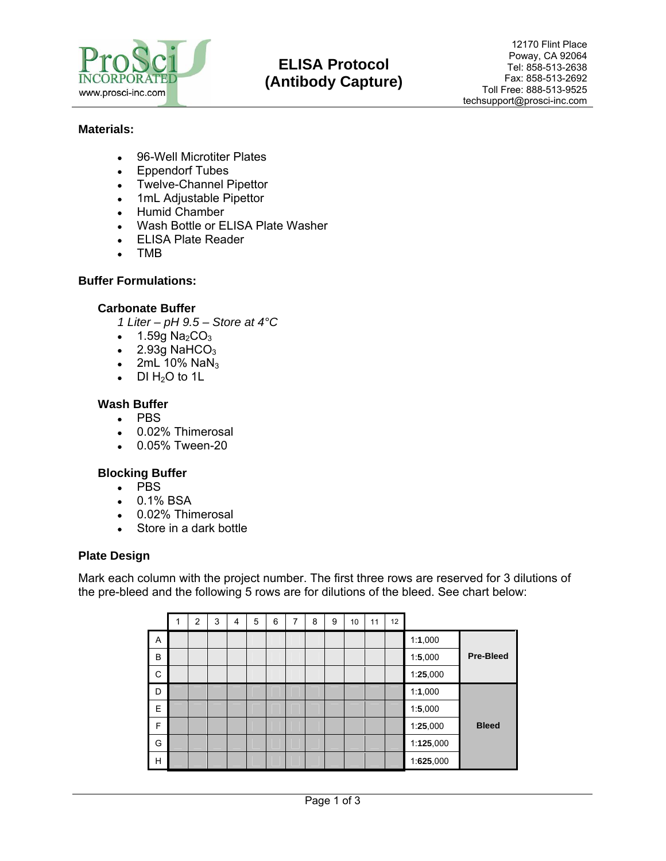

# **ELISA Protocol (Antibody Capture)**

## **Materials:**

- 96-Well Microtiter Plates
- Eppendorf Tubes
- Twelve-Channel Pipettor
- 1mL Adjustable Pipettor
- Humid Chamber
- Wash Bottle or ELISA Plate Washer
- ELISA Plate Reader
- TMB

## **Buffer Formulations:**

#### **Carbonate Buffer**

*1 Liter – pH 9.5 – Store at 4°C*

- $\bullet$  1.59g Na<sub>2</sub>CO<sub>3</sub>
- $\bullet$  2.93g NaHCO<sub>3</sub>
- 2mL 10%  $NaN<sub>3</sub>$
- DI  $H_2O$  to 1L

## **Wash Buffer**

- PBS
- 0.02% Thimerosal
- 0.05% Tween-20

## **Blocking Buffer**

- PBS
- 0.1% BSA
- 0.02% Thimerosal
- Store in a dark bottle

## **Plate Design**

Mark each column with the project number. The first three rows are reserved for 3 dilutions of the pre-bleed and the following 5 rows are for dilutions of the bleed. See chart below:

|   | $\overline{2}$ | 3 | 4 | 5 | 6 | 7 | 8 | 9 | 10 | 11 | 12 |           |                  |
|---|----------------|---|---|---|---|---|---|---|----|----|----|-----------|------------------|
| Α |                |   |   |   |   |   |   |   |    |    |    | 1:1,000   |                  |
| B |                |   |   |   |   |   |   |   |    |    |    | 1:5,000   | <b>Pre-Bleed</b> |
| C |                |   |   |   |   |   |   |   |    |    |    | 1:25,000  |                  |
| D |                |   |   |   |   |   |   |   |    |    |    | 1:1,000   |                  |
| E |                |   |   |   |   |   |   |   |    |    |    | 1:5,000   |                  |
| F |                |   |   |   |   |   |   |   |    |    |    | 1:25,000  | <b>Bleed</b>     |
| G |                |   |   |   |   |   |   |   |    |    |    | 1:125,000 |                  |
| H |                |   |   |   |   |   |   |   |    |    |    | 1:625,000 |                  |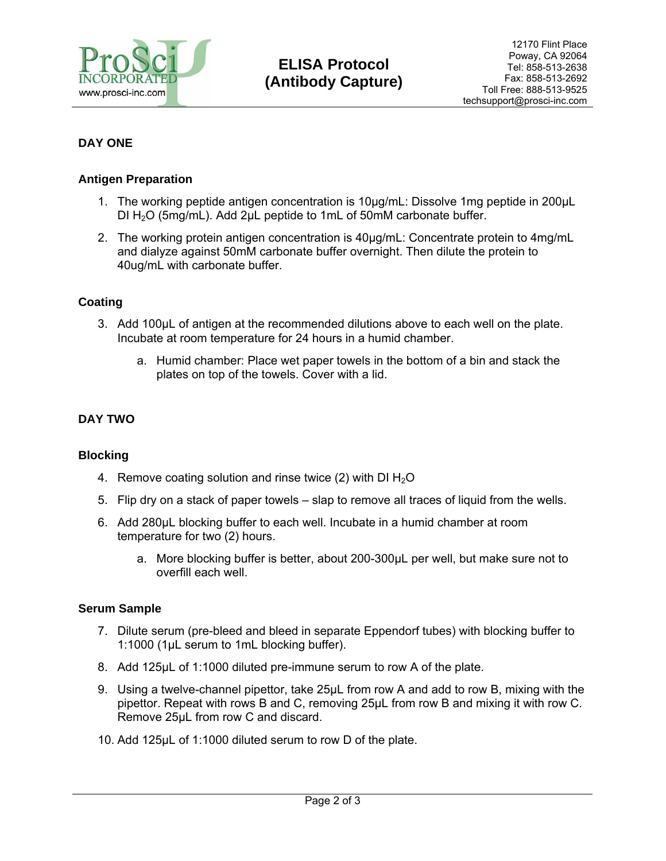

## **DAY ONE**

## **Antigen Preparation**

- 1. The working peptide antigen concentration is 10μg/mL: Dissolve 1mg peptide in 200μL DI  $H_2O$  (5mg/mL). Add 2µL peptide to 1mL of 50mM carbonate buffer.
- 2. The working protein antigen concentration is 40μg/mL: Concentrate protein to 4mg/mL and dialyze against 50mM carbonate buffer overnight. Then dilute the protein to 40ug/mL with carbonate buffer.

## **Coating**

- 3. Add 100μL of antigen at the recommended dilutions above to each well on the plate. Incubate at room temperature for 24 hours in a humid chamber.
	- a. Humid chamber: Place wet paper towels in the bottom of a bin and stack the plates on top of the towels. Cover with a lid.

## **DAY TWO**

## **Blocking**

- 4. Remove coating solution and rinse twice (2) with DI  $H_2O$
- 5. Flip dry on a stack of paper towels slap to remove all traces of liquid from the wells.
- 6. Add 280μL blocking buffer to each well. Incubate in a humid chamber at room temperature for two (2) hours.
	- a. More blocking buffer is better, about 200-300μL per well, but make sure not to overfill each well.

## **Serum Sample**

- 7. Dilute serum (pre-bleed and bleed in separate Eppendorf tubes) with blocking buffer to 1:1000 (1μL serum to 1mL blocking buffer).
- 8. Add 125μL of 1:1000 diluted pre-immune serum to row A of the plate.
- 9. Using a twelve-channel pipettor, take 25μL from row A and add to row B, mixing with the pipettor. Repeat with rows B and C, removing 25μL from row B and mixing it with row C. Remove 25μL from row C and discard.
- 10. Add 125μL of 1:1000 diluted serum to row D of the plate.